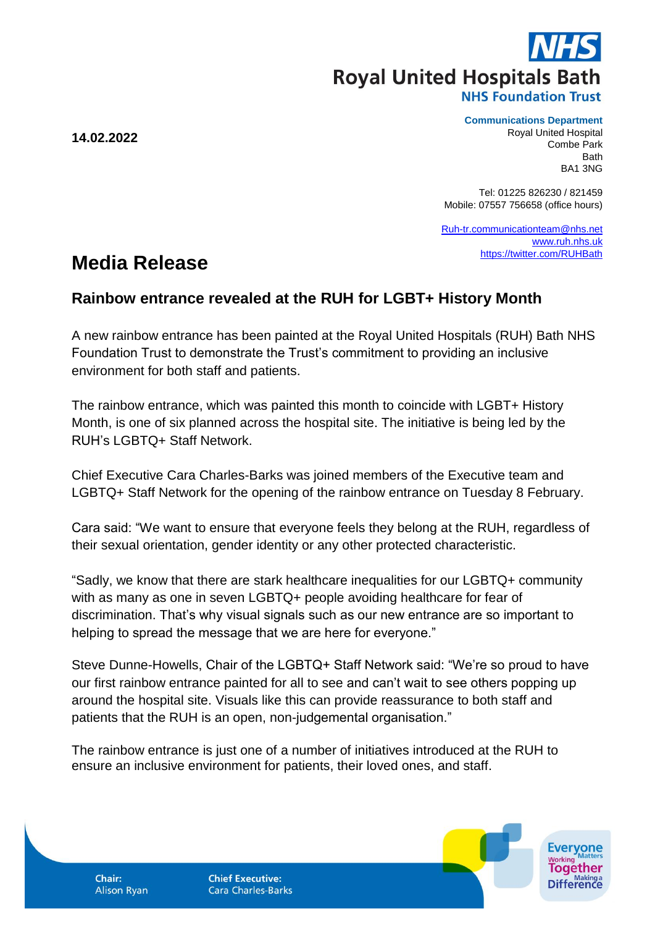**Royal United Hospitals Bath** 

**14.02.2022**

## **Communications Department**

Royal United Hospital Combe Park Bath BA1 3NG

Tel: 01225 826230 / 821459 Mobile: 07557 756658 (office hours)

[Ruh-tr.communicationteam@nhs.net](mailto:Ruh-tr.communicationteam@nhs.net) [www.ruh.nhs.uk](http://www.ruh.nhs.uk/) <https://twitter.com/RUHBath>

## **Media Release**

## **Rainbow entrance revealed at the RUH for LGBT+ History Month**

A new rainbow entrance has been painted at the Royal United Hospitals (RUH) Bath NHS Foundation Trust to demonstrate the Trust's commitment to providing an inclusive environment for both staff and patients.

The rainbow entrance, which was painted this month to coincide with LGBT+ History Month, is one of six planned across the hospital site. The initiative is being led by the RUH's LGBTQ+ Staff Network.

Chief Executive Cara Charles-Barks was joined members of the Executive team and LGBTQ+ Staff Network for the opening of the rainbow entrance on Tuesday 8 February.

Cara said: "We want to ensure that everyone feels they belong at the RUH, regardless of their sexual orientation, gender identity or any other protected characteristic.

"Sadly, we know that there are stark healthcare inequalities for our LGBTQ+ community with as many as one in seven LGBTQ+ people avoiding healthcare for fear of discrimination. That's why visual signals such as our new entrance are so important to helping to spread the message that we are here for everyone."

Steve Dunne-Howells, Chair of the LGBTQ+ Staff Network said: "We're so proud to have our first rainbow entrance painted for all to see and can't wait to see others popping up around the hospital site. Visuals like this can provide reassurance to both staff and patients that the RUH is an open, non-judgemental organisation."

The rainbow entrance is just one of a number of initiatives introduced at the RUH to ensure an inclusive environment for patients, their loved ones, and staff.

Chair: **Alison Ryan**  **Chief Executive: Cara Charles-Barks**